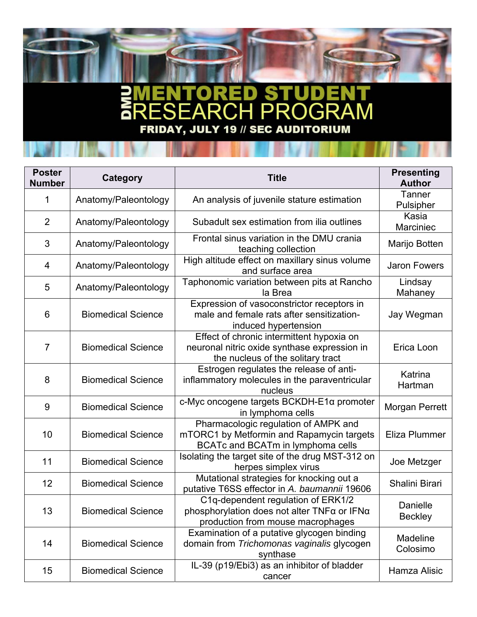## S T D) D Ξ PR<sub>(</sub> M GR Δ Ō S 1 **FRIDAY, JULY 19 // SEC AUDITORIUM**

| <b>Poster</b><br><b>Number</b> | Category                  | <b>Title</b>                                                                                                                   | <b>Presenting</b><br><b>Author</b> |
|--------------------------------|---------------------------|--------------------------------------------------------------------------------------------------------------------------------|------------------------------------|
| 1                              | Anatomy/Paleontology      | An analysis of juvenile stature estimation                                                                                     | <b>Tanner</b><br>Pulsipher         |
| $\overline{2}$                 | Anatomy/Paleontology      | Subadult sex estimation from ilia outlines                                                                                     | Kasia<br>Marciniec                 |
| 3                              | Anatomy/Paleontology      | Frontal sinus variation in the DMU crania<br>teaching collection                                                               | Marijo Botten                      |
| 4                              | Anatomy/Paleontology      | High altitude effect on maxillary sinus volume<br>and surface area                                                             | <b>Jaron Fowers</b>                |
| 5                              | Anatomy/Paleontology      | Taphonomic variation between pits at Rancho<br>la Brea                                                                         | Lindsay<br>Mahaney                 |
| 6                              | <b>Biomedical Science</b> | Expression of vasoconstrictor receptors in<br>male and female rats after sensitization-<br>induced hypertension                | Jay Wegman                         |
| $\overline{7}$                 | <b>Biomedical Science</b> | Effect of chronic intermittent hypoxia on<br>neuronal nitric oxide synthase expression in<br>the nucleus of the solitary tract | Erica Loon                         |
| 8                              | <b>Biomedical Science</b> | Estrogen regulates the release of anti-<br>inflammatory molecules in the paraventricular<br>nucleus                            | Katrina<br>Hartman                 |
| 9                              | <b>Biomedical Science</b> | c-Myc oncogene targets BCKDH-E1α promoter<br>in lymphoma cells                                                                 | <b>Morgan Perrett</b>              |
| 10                             | <b>Biomedical Science</b> | Pharmacologic regulation of AMPK and<br>mTORC1 by Metformin and Rapamycin targets<br>BCATc and BCATm in lymphoma cells         | Eliza Plummer                      |
| 11                             | <b>Biomedical Science</b> | Isolating the target site of the drug MST-312 on<br>herpes simplex virus                                                       | Joe Metzger                        |
| 12                             | <b>Biomedical Science</b> | Mutational strategies for knocking out a<br>putative T6SS effector in A. baumannii 19606                                       | Shalini Birari                     |
| 13                             | <b>Biomedical Science</b> | C1q-dependent regulation of ERK1/2<br>phosphorylation does not alter TNFα or IFNα<br>production from mouse macrophages         | Danielle<br><b>Beckley</b>         |
| 14                             | <b>Biomedical Science</b> | Examination of a putative glycogen binding<br>domain from Trichomonas vaginalis glycogen<br>synthase                           | Madeline<br>Colosimo               |
| 15                             | <b>Biomedical Science</b> | IL-39 (p19/Ebi3) as an inhibitor of bladder<br>cancer                                                                          | Hamza Alisic                       |